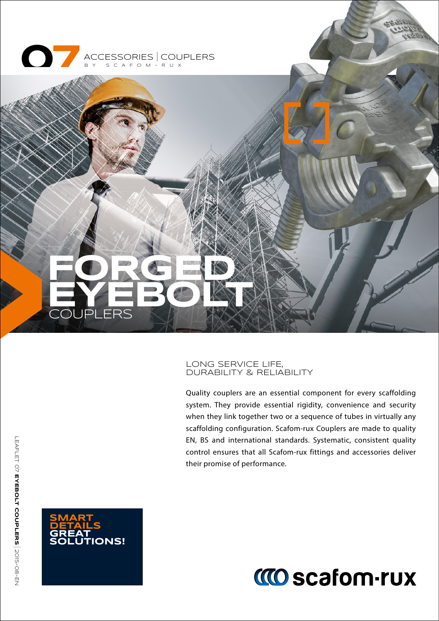



#### LONG SERVICE LIFE, DURABILITY & RELIABILITY

Quality couplers are an essential component for every scaffolding system. They provide essential rigidity, convenience and security when they link together two or a sequence of tubes in virtually any scaffolding configuration. Scafom-rux Couplers are made to quality EN, BS and international standards. Systematic, consistent quality control ensures that all Scafom-rux fittings and accessories deliver their promise of performance.



# **MO scafom-rux**